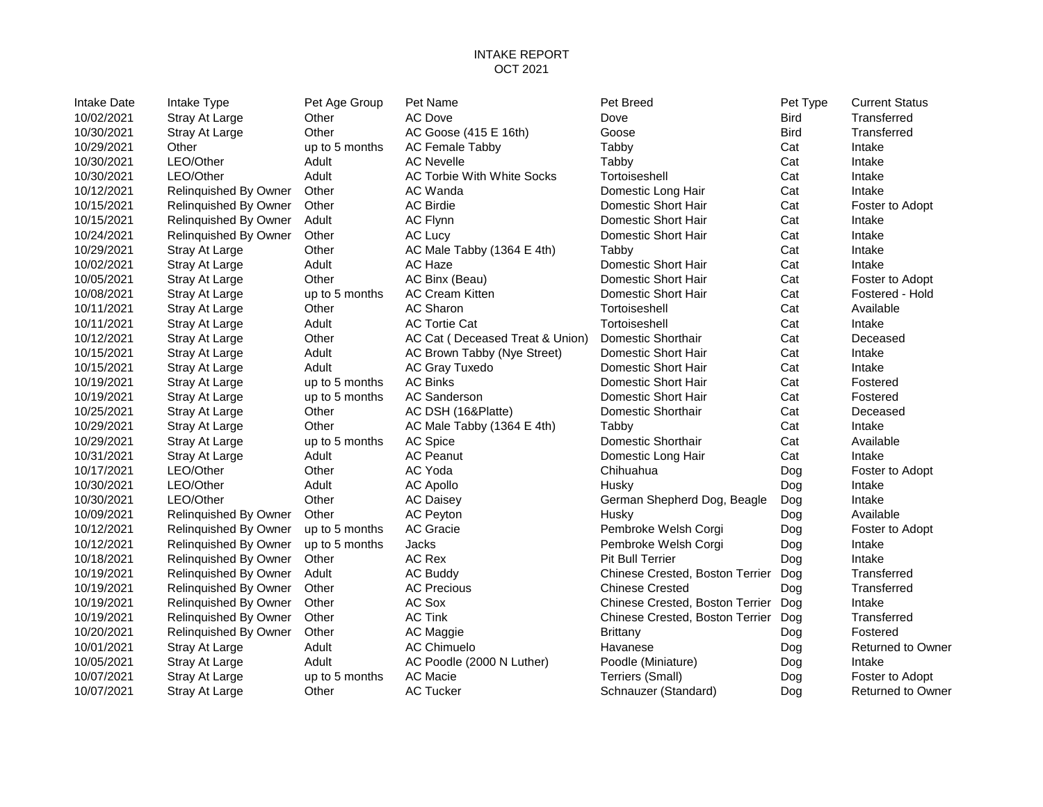### INTAKE REPORT OCT 2021

| Intake Date | Intake Type           | Pet Age Group  | Pet Name                        | Pet Breed                           | Pet Type    | <b>Current Status</b> |
|-------------|-----------------------|----------------|---------------------------------|-------------------------------------|-------------|-----------------------|
| 10/02/2021  | Stray At Large        | Other          | <b>AC Dove</b>                  | Dove                                | <b>Bird</b> | Transferred           |
| 10/30/2021  | Stray At Large        | Other          | AC Goose (415 E 16th)           | Goose                               | <b>Bird</b> | Transferred           |
| 10/29/2021  | Other                 | up to 5 months | <b>AC Female Tabby</b>          | Tabby                               | Cat         | Intake                |
| 10/30/2021  | LEO/Other             | Adult          | <b>AC Nevelle</b>               | Tabby                               | Cat         | Intake                |
| 10/30/2021  | LEO/Other             | Adult          | AC Torbie With White Socks      | Tortoiseshell                       | Cat         | Intake                |
| 10/12/2021  | Relinquished By Owner | Other          | AC Wanda                        | Domestic Long Hair                  | Cat         | Intake                |
| 10/15/2021  | Relinquished By Owner | Other          | <b>AC Birdie</b>                | Domestic Short Hair                 | Cat         | Foster to Adopt       |
| 10/15/2021  | Relinquished By Owner | Adult          | AC Flynn                        | Domestic Short Hair                 | Cat         | Intake                |
| 10/24/2021  | Relinquished By Owner | Other          | AC Lucy                         | Domestic Short Hair                 | Cat         | Intake                |
| 10/29/2021  | Stray At Large        | Other          | AC Male Tabby (1364 E 4th)      | Tabby                               | Cat         | Intake                |
| 10/02/2021  | Stray At Large        | Adult          | AC Haze                         | Domestic Short Hair                 | Cat         | Intake                |
| 10/05/2021  | Stray At Large        | Other          | AC Binx (Beau)                  | Domestic Short Hair                 | Cat         | Foster to Adopt       |
| 10/08/2021  | Stray At Large        | up to 5 months | <b>AC Cream Kitten</b>          | Domestic Short Hair                 | Cat         | Fostered - Hold       |
| 10/11/2021  | Stray At Large        | Other          | AC Sharon                       | Tortoiseshell                       | Cat         | Available             |
| 10/11/2021  | Stray At Large        | Adult          | <b>AC Tortie Cat</b>            | Tortoiseshell                       | Cat         | Intake                |
| 10/12/2021  | Stray At Large        | Other          | AC Cat (Deceased Treat & Union) | Domestic Shorthair                  | Cat         | Deceased              |
| 10/15/2021  | Stray At Large        | Adult          | AC Brown Tabby (Nye Street)     | Domestic Short Hair                 | Cat         | Intake                |
| 10/15/2021  | Stray At Large        | Adult          | AC Gray Tuxedo                  | Domestic Short Hair                 | Cat         | Intake                |
| 10/19/2021  | Stray At Large        | up to 5 months | <b>AC Binks</b>                 | Domestic Short Hair                 | Cat         | Fostered              |
| 10/19/2021  | Stray At Large        | up to 5 months | AC Sanderson                    | Domestic Short Hair                 | Cat         | Fostered              |
| 10/25/2021  | Stray At Large        | Other          | AC DSH (16&Platte)              | Domestic Shorthair                  | Cat         | Deceased              |
| 10/29/2021  | Stray At Large        | Other          | AC Male Tabby (1364 E 4th)      | Tabby                               | Cat         | Intake                |
| 10/29/2021  | Stray At Large        | up to 5 months | AC Spice                        | Domestic Shorthair                  | Cat         | Available             |
| 10/31/2021  | Stray At Large        | Adult          | <b>AC Peanut</b>                | Domestic Long Hair                  | Cat         | Intake                |
| 10/17/2021  | LEO/Other             | Other          | AC Yoda                         | Chihuahua                           | Dog         | Foster to Adopt       |
| 10/30/2021  | LEO/Other             | Adult          | AC Apollo                       | Husky                               | Dog         | Intake                |
| 10/30/2021  | LEO/Other             | Other          | <b>AC Daisey</b>                | German Shepherd Dog, Beagle         | Dog         | Intake                |
| 10/09/2021  | Relinquished By Owner | Other          | <b>AC Peyton</b>                | Husky                               | Dog         | Available             |
| 10/12/2021  | Relinquished By Owner | up to 5 months | AC Gracie                       | Pembroke Welsh Corgi                | Dog         | Foster to Adopt       |
| 10/12/2021  | Relinquished By Owner | up to 5 months | Jacks                           | Pembroke Welsh Corgi                | Dog         | Intake                |
| 10/18/2021  | Relinquished By Owner | Other          | AC Rex                          | <b>Pit Bull Terrier</b>             | Dog         | Intake                |
| 10/19/2021  | Relinquished By Owner | Adult          | AC Buddy                        | Chinese Crested, Boston Terrier     | Dog         | Transferred           |
| 10/19/2021  | Relinquished By Owner | Other          | <b>AC Precious</b>              | <b>Chinese Crested</b>              | Dog         | Transferred           |
| 10/19/2021  | Relinquished By Owner | Other          | AC Sox                          | Chinese Crested, Boston Terrier Dog |             | Intake                |
| 10/19/2021  | Relinquished By Owner | Other          | <b>AC Tink</b>                  | Chinese Crested, Boston Terrier Dog |             | Transferred           |
| 10/20/2021  | Relinquished By Owner | Other          | AC Maggie                       | <b>Brittany</b>                     | Dog         | Fostered              |
| 10/01/2021  | Stray At Large        | Adult          | <b>AC Chimuelo</b>              | Havanese                            | Dog         | Returned to Ow        |
| 10/05/2021  | Stray At Large        | Adult          | AC Poodle (2000 N Luther)       | Poodle (Miniature)                  | Dog         | Intake                |
| 10/07/2021  | Stray At Large        | up to 5 months | <b>AC Macie</b>                 | Terriers (Small)                    | Dog         | Foster to Adopt       |
| 10/07/2021  | Stray At Large        | Other          | <b>AC Tucker</b>                | Schnauzer (Standard)                | Doa         | Returned to Ow        |

10001 2012 Relinquished By Ownestic Long Hair Cat Intake 100 Domestic Short Hair **Cat** Foster to Adopt 100 Domestic Short Hair **Cat** Intake 100 Domestic Short Hair **Cat** Intake Tabby (1364 E 4th) Tabby Cat Intake 1001 Domestic Short Hair **Cat** Intake n Kitten **1008/2021 Straw At Large up to Short Hair** Cat Fostered - Hold 10/12/2021 Stray At Large Other AC Cat ( Deceased Treat & Union) Domestic Shorthair Cat Deceased Tabby (Nye Street) Domestic Short Hair Cat Intake 10/15/2021 Stray At Large Adult AC Gray Tuxedo Domestic Short Hair Cat Intake 100 Domestic Short Hair **Cat** Fostered 10/19/2021 Stray At Large up to 5 months AC Sanderson Domestic Short Hair Cat Fostered 10/25/2021 Stray At Large Other AC DSH (16&Platte) Domestic Shorthair Cat Deceased Tabby (1364 E 4th) Tabby Cat Intake 1000 Domestic Shorthair **Cat** Available 11 11 11 12021 Somestic Long Hair Cat Intake 1000 V Corman Shepherd Dog, Beagle Dog Intake 1000 By Owner up to 5 months AC Gracie Extensive Welsh Corgi Corgi Dog Foster to Adopt 10.1279 Pembroke Welsh Corgi Corgi Dog Intake Chinese Crested, Boston Terrier Dog Transferred Chinese Crested, Boston Terrier Dog Intake 10/19/2021 Relinquished By Owner Other AC Tink Chinese Crested, Boston Terrier Dog Transferred 10/01/2021 Stray At Large Adult AC Chimuelo Havanese Dog Returned to Owner 10/05/2021 Stray At Large Adult AC Poodle (2000 N Luther) Poodle (Miniature) Dog Intake 1007/2021 Stray At Large Communication Schnauzer (Standard) Dog Returned to Owner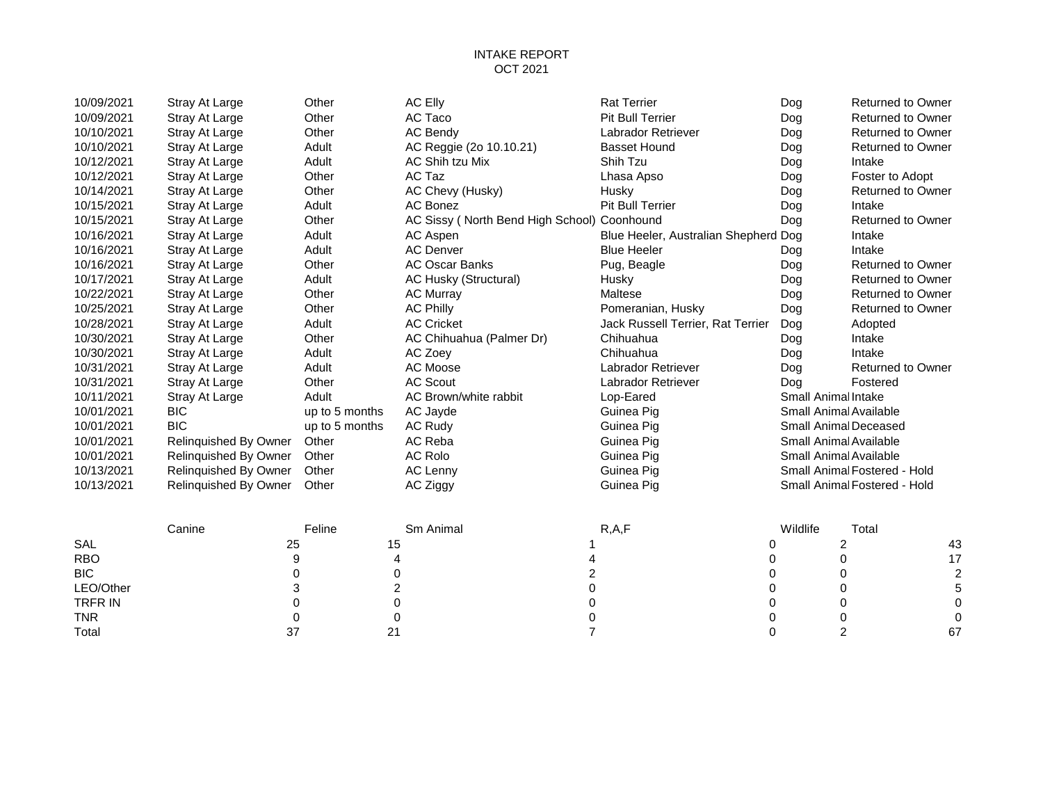## INTAKE REPORT OCT 2021

| 10/09/2021     | Stray At Large        | Other          | <b>AC Elly</b>                               | <b>Rat Terrier</b>                   | Dog                     | <b>Returned to Owner</b>     |                         |
|----------------|-----------------------|----------------|----------------------------------------------|--------------------------------------|-------------------------|------------------------------|-------------------------|
| 10/09/2021     | Stray At Large        | Other          | AC Taco                                      | <b>Pit Bull Terrier</b>              | Dog                     | <b>Returned to Owner</b>     |                         |
| 10/10/2021     | Stray At Large        | Other          | AC Bendy                                     | Labrador Retriever                   | Dog                     | <b>Returned to Owner</b>     |                         |
| 10/10/2021     | Stray At Large        | Adult          | AC Reggie (2o 10.10.21)                      | <b>Basset Hound</b>                  | Dog                     | <b>Returned to Owner</b>     |                         |
| 10/12/2021     | Stray At Large        | Adult          | AC Shih tzu Mix                              | Shih Tzu                             | Dog                     | Intake                       |                         |
| 10/12/2021     | Stray At Large        | Other          | AC Taz                                       | Lhasa Apso                           | Dog                     | Foster to Adopt              |                         |
| 10/14/2021     | Stray At Large        | Other          | AC Chevy (Husky)                             | Husky                                | Dog                     | <b>Returned to Owner</b>     |                         |
| 10/15/2021     | Stray At Large        | Adult          | AC Bonez                                     | <b>Pit Bull Terrier</b>              | Dog                     | Intake                       |                         |
| 10/15/2021     | Stray At Large        | Other          | AC Sissy ( North Bend High School) Coonhound |                                      | Dog                     | <b>Returned to Owner</b>     |                         |
| 10/16/2021     | Stray At Large        | Adult          | AC Aspen                                     | Blue Heeler, Australian Shepherd Dog |                         | Intake                       |                         |
| 10/16/2021     | Stray At Large        | Adult          | <b>AC Denver</b>                             | <b>Blue Heeler</b>                   | Dog                     | Intake                       |                         |
| 10/16/2021     | Stray At Large        | Other          | <b>AC Oscar Banks</b>                        | Pug, Beagle                          | Dog                     | <b>Returned to Owner</b>     |                         |
| 10/17/2021     | Stray At Large        | Adult          | AC Husky (Structural)                        | Husky                                | Dog                     | <b>Returned to Owner</b>     |                         |
| 10/22/2021     | Stray At Large        | Other          | <b>AC Murray</b>                             | Maltese                              | Dog                     | <b>Returned to Owner</b>     |                         |
| 10/25/2021     | Stray At Large        | Other          | <b>AC Philly</b>                             | Pomeranian, Husky                    | Dog                     | <b>Returned to Owner</b>     |                         |
| 10/28/2021     | Stray At Large        | Adult          | <b>AC Cricket</b>                            | Jack Russell Terrier, Rat Terrier    | Dog                     | Adopted                      |                         |
| 10/30/2021     | Stray At Large        | Other          | AC Chihuahua (Palmer Dr)                     | Chihuahua                            | Dog                     | Intake                       |                         |
| 10/30/2021     | Stray At Large        | Adult          | AC Zoey                                      | Chihuahua                            | Dog                     | Intake                       |                         |
| 10/31/2021     | Stray At Large        | Adult          | AC Moose                                     | Labrador Retriever                   | Dog                     | <b>Returned to Owner</b>     |                         |
| 10/31/2021     | Stray At Large        | Other          | <b>AC Scout</b>                              | Labrador Retriever                   | Dog                     | Fostered                     |                         |
| 10/11/2021     | Stray At Large        | Adult          | AC Brown/white rabbit                        | Lop-Eared                            | Small Animal Intake     |                              |                         |
| 10/01/2021     | <b>BIC</b>            | up to 5 months | AC Jayde                                     | Guinea Pig                           | Small Animal Available  |                              |                         |
| 10/01/2021     | <b>BIC</b>            | up to 5 months | <b>AC Rudy</b>                               | Guinea Pig                           | Small Animal Deceased   |                              |                         |
| 10/01/2021     | Relinquished By Owner | Other          | AC Reba                                      | Guinea Pig                           | Small Animal Available  |                              |                         |
| 10/01/2021     | Relinquished By Owner | Other          | <b>AC Rolo</b>                               | Guinea Pig                           | Small Animal Available  |                              |                         |
| 10/13/2021     | Relinquished By Owner | Other          | AC Lenny                                     | Guinea Pig                           |                         | Small Animal Fostered - Hold |                         |
| 10/13/2021     | Relinquished By Owner | Other          | AC Ziggy                                     | Guinea Pig                           |                         | Small Animal Fostered - Hold |                         |
|                | Canine                | Feline         | Sm Animal                                    | R, A, F                              | Wildlife                | Total                        |                         |
| SAL            | 25                    | 15             |                                              | 0                                    | $\overline{\mathbf{c}}$ |                              | 43                      |
| <b>RBO</b>     | 9                     |                | 4                                            | 0                                    | 0                       |                              | 17                      |
| <b>BIC</b>     | 0                     | 0              | $\boldsymbol{2}$                             | 0                                    | 0                       |                              | $\overline{\mathbf{c}}$ |
| LEO/Other      | 3                     | 2              | 0                                            | 0                                    | 0                       |                              | 5                       |
| <b>TRFR IN</b> | 0                     | 0              | 0                                            | 0                                    | 0                       |                              | 0                       |
| <b>TNR</b>     | 0                     | 0              | 0                                            | 0                                    | 0                       |                              |                         |
| Total          | 37                    | 21             | $\overline{7}$                               | 0                                    | $\overline{2}$          |                              | 67                      |
|                |                       |                |                                              |                                      |                         |                              |                         |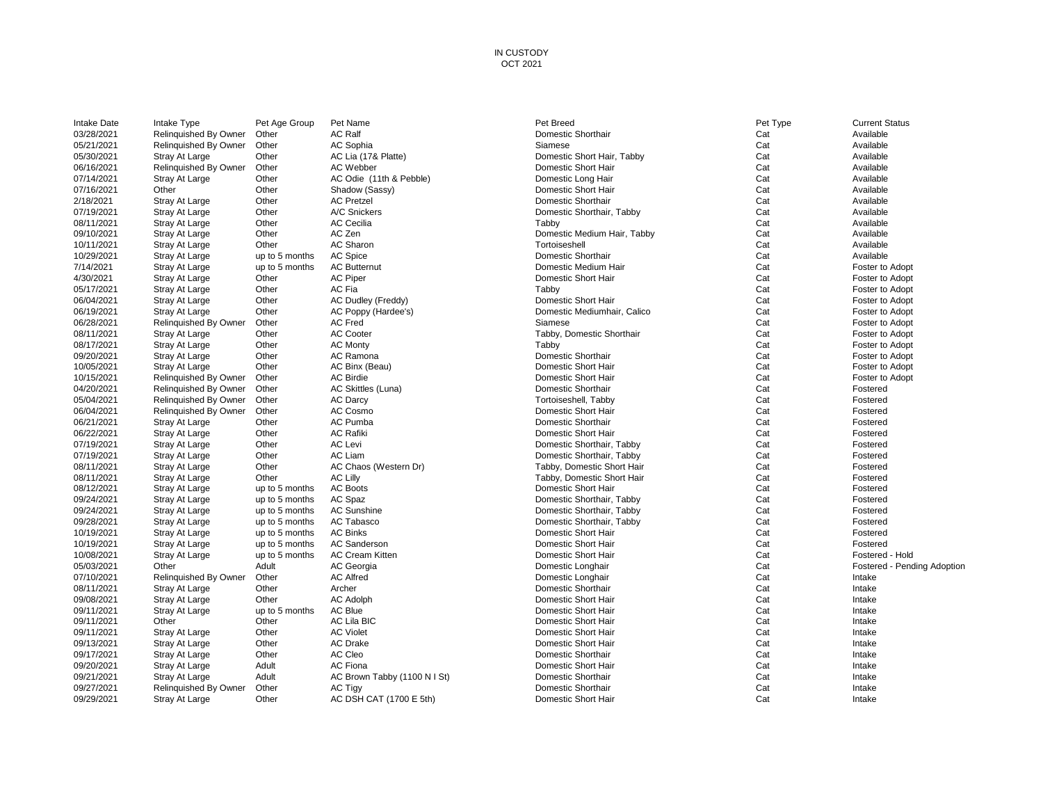#### IN CUSTODY OCT 2021

| Intake Date              | Intake Type                      | Pet Age Group           | Pet Name                     | Pet Breed                                              | Pet Type | <b>Current Status</b>       |
|--------------------------|----------------------------------|-------------------------|------------------------------|--------------------------------------------------------|----------|-----------------------------|
| 03/28/2021               | Relinquished By Owner            | Other                   | <b>AC Ralf</b>               | Domestic Shorthair                                     | Cat      | Available                   |
| 05/21/2021               | Relinquished By Owner            | Other                   | AC Sophia                    | Siamese                                                | Cat      | Available                   |
| 05/30/2021               | Stray At Large                   | Other                   | AC Lia (17& Platte)          | Domestic Short Hair, Tabby                             | Cat      | Available                   |
| 06/16/2021               | Relinquished By Owner            | Other                   | <b>AC Webber</b>             | Domestic Short Hair                                    | Cat      | Available                   |
| 07/14/2021               | Stray At Large                   | Other                   | AC Odie (11th & Pebble)      | Domestic Long Hair                                     | Cat      | Available                   |
| 07/16/2021               | Other                            | Other                   | Shadow (Sassy)               | Domestic Short Hair                                    | Cat      | Available                   |
| 2/18/2021                | Stray At Large                   | Other                   | <b>AC Pretzel</b>            | Domestic Shorthair                                     | Cat      | Available                   |
| 07/19/2021               | Stray At Large                   | Other                   | A/C Snickers                 | Domestic Shorthair, Tabby                              | Cat      | Available                   |
| 08/11/2021               | Stray At Large                   | Other                   | <b>AC Cecilia</b>            | Tabby                                                  | Cat      | Available                   |
| 09/10/2021               | Stray At Large                   | Other                   | AC Zen                       | Domestic Medium Hair, Tabby                            | Cat      | Available                   |
| 10/11/2021               | Stray At Large                   | Other                   | AC Sharon                    | Tortoiseshell                                          | Cat      | Available                   |
| 10/29/2021               | Stray At Large                   | up to 5 months          | AC Spice                     | Domestic Shorthair                                     | Cat      | Available                   |
| 7/14/2021                | Stray At Large                   | up to 5 months          | <b>AC Butternut</b>          | Domestic Medium Hair                                   | Cat      | Foster to Adopt             |
| 4/30/2021                | Stray At Large                   | Other                   | <b>AC Piper</b>              | Domestic Short Hair                                    | Cat      | Foster to Adopt             |
| 05/17/2021               | Stray At Large                   | Other                   | AC Fia                       | Tabby                                                  | Cat      | Foster to Adopt             |
| 06/04/2021               | Stray At Large                   | Other                   | AC Dudley (Freddy)           | Domestic Short Hair                                    | Cat      | Foster to Adopt             |
| 06/19/2021               | Stray At Large                   | Other                   | AC Poppy (Hardee's)          | Domestic Mediumhair, Calico                            | Cat      | Foster to Adopt             |
| 06/28/2021               | Relinquished By Owner            | Other                   | AC Fred                      | Siamese                                                | Cat      | Foster to Adopt             |
| 08/11/2021               | Stray At Large                   | Other                   | <b>AC Cooter</b>             | Tabby, Domestic Shorthair                              | Cat      | Foster to Adopt             |
| 08/17/2021               | Stray At Large                   | Other                   | <b>AC Monty</b>              | Tabby                                                  | Cat      | Foster to Adopt             |
| 09/20/2021               | Stray At Large                   | Other                   | AC Ramona                    | Domestic Shorthair                                     | Cat      | Foster to Adopt             |
| 10/05/2021               | Stray At Large                   | Other                   | AC Binx (Beau)               | Domestic Short Hair                                    | Cat      | Foster to Adopt             |
| 10/15/2021               | Relinquished By Owner            | Other                   | <b>AC Birdie</b>             | Domestic Short Hair                                    | Cat      | Foster to Adopt             |
| 04/20/2021               | Relinquished By Owner            | Other                   | AC Skittles (Luna)           | Domestic Shorthair                                     | Cat      | Fostered                    |
| 05/04/2021               | Relinquished By Owner            | Other                   | <b>AC Darcy</b>              | Tortoiseshell, Tabby                                   | Cat      | Fostered                    |
| 06/04/2021               | Relinquished By Owner            | Other                   | AC Cosmo                     | Domestic Short Hair                                    | Cat      | Fostered                    |
| 06/21/2021               | Stray At Large                   | Other                   | AC Pumba                     | Domestic Shorthair                                     | Cat      | Fostered                    |
| 06/22/2021               | Stray At Large                   | Other                   | <b>AC Rafiki</b>             | Domestic Short Hair                                    | Cat      | Fostered                    |
| 07/19/2021               | Stray At Large                   | Other                   | AC Levi                      | Domestic Shorthair, Tabby                              | Cat      | Fostered                    |
| 07/19/2021               | Stray At Large                   | Other                   | AC Liam                      | Domestic Shorthair, Tabby                              | Cat      | Fostered                    |
| 08/11/2021               |                                  | Other                   | AC Chaos (Western Dr)        | Tabby, Domestic Short Hair                             | Cat      | Fostered                    |
| 08/11/2021               | Stray At Large<br>Stray At Large | Other                   | <b>AC Lilly</b>              | Tabby, Domestic Short Hair                             | Cat      | Fostered                    |
| 08/12/2021               | Stray At Large                   |                         | <b>AC Boots</b>              | Domestic Short Hair                                    | Cat      | Fostered                    |
| 09/24/2021               |                                  | up to 5 months          | AC Spaz                      | Domestic Shorthair, Tabby                              | Cat      | Fostered                    |
| 09/24/2021               | Stray At Large                   | up to 5 months          | <b>AC Sunshine</b>           |                                                        | Cat      | Fostered                    |
|                          | Stray At Large                   | up to 5 months          | AC Tabasco                   | Domestic Shorthair, Tabby<br>Domestic Shorthair, Tabby | Cat      | Fostered                    |
| 09/28/2021<br>10/19/2021 | <b>Stray At Large</b>            | up to 5 months          | <b>AC Binks</b>              | Domestic Short Hair                                    | Cat      | Fostered                    |
| 10/19/2021               | Stray At Large                   | up to 5 months          | <b>AC Sanderson</b>          | Domestic Short Hair                                    | Cat      | Fostered                    |
| 10/08/2021               | Stray At Large                   | up to 5 months          | <b>AC Cream Kitten</b>       |                                                        | Cat      |                             |
|                          | Stray At Large<br>Other          | up to 5 months<br>Adult |                              | Domestic Short Hair                                    | Cat      | Fostered - Hold             |
| 05/03/2021               |                                  |                         | AC Georgia                   | Domestic Longhair                                      |          | Fostered - Pending Adoption |
| 07/10/2021               | Relinquished By Owner            | Other                   | <b>AC Alfred</b>             | Domestic Longhair                                      | Cat      | Intake                      |
| 08/11/2021               | Stray At Large                   | Other                   | Archer                       | Domestic Shorthair                                     | Cat      | Intake                      |
| 09/08/2021               | Stray At Large                   | Other                   | <b>AC Adolph</b>             | Domestic Short Hair                                    | Cat      | Intake                      |
| 09/11/2021               | <b>Stray At Large</b>            | up to 5 months          | AC Blue                      | Domestic Short Hair                                    | Cat      | Intake                      |
| 09/11/2021               | Other                            | Other                   | <b>AC Lila BIC</b>           | Domestic Short Hair                                    | Cat      | Intake                      |
| 09/11/2021               | <b>Stray At Large</b>            | Other                   | <b>AC Violet</b>             | Domestic Short Hair                                    | Cat      | Intake                      |
| 09/13/2021               | <b>Stray At Large</b>            | Other                   | <b>AC Drake</b>              | Domestic Short Hair                                    | Cat      | Intake                      |
| 09/17/2021               | <b>Stray At Large</b>            | Other                   | AC Cleo                      | Domestic Shorthair                                     | Cat      | Intake                      |
| 09/20/2021               | Stray At Large                   | Adult                   | <b>AC Fiona</b>              | Domestic Short Hair                                    | Cat      | Intake                      |
| 09/21/2021               | <b>Stray At Large</b>            | Adult                   | AC Brown Tabby (1100 N I St) | Domestic Shorthair                                     | Cat      | Intake                      |
| 09/27/2021               | Relinquished By Owner            | Other                   | AC Tigy                      | Domestic Shorthair                                     | Cat      | Intake                      |
| 09/29/2021               | Stray At Large                   | Other                   | AC DSH CAT (1700 E 5th)      | Domestic Short Hair                                    | Cat      | Intake                      |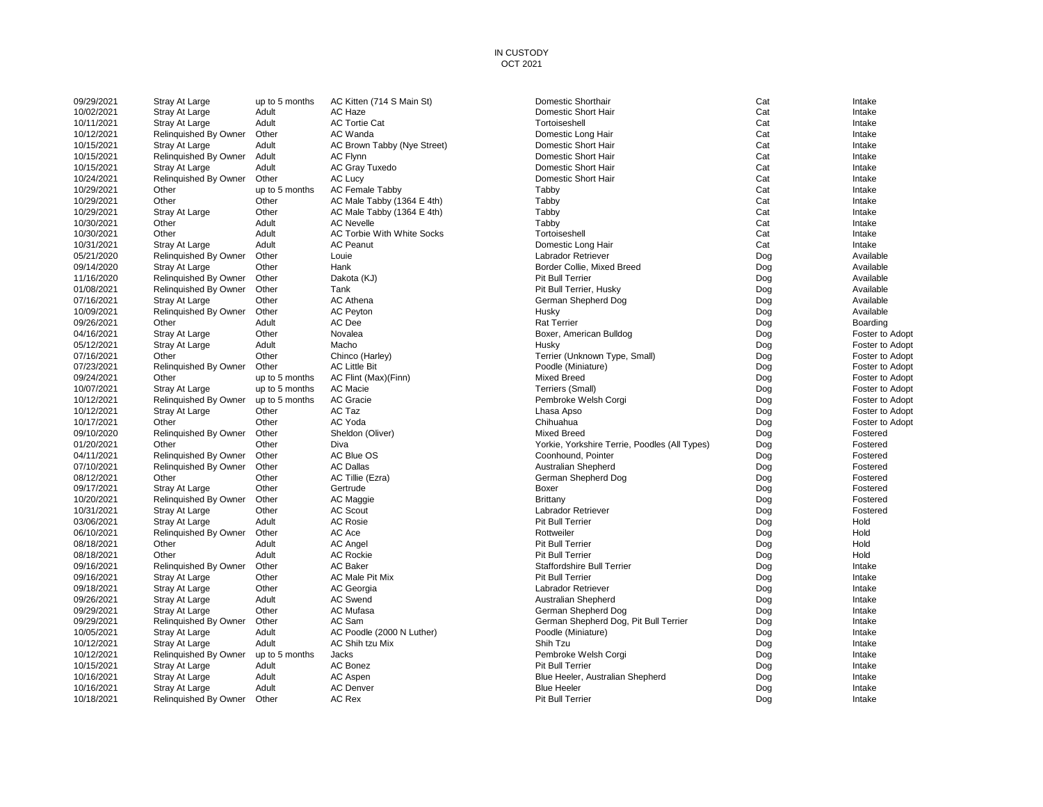#### IN CUSTODY OCT 2021

| 09/29/2021 | Stray At Large                 | up to 5 months | AC Kitten (714 S Main St)         | Domestic Shorthair                                                  | Cat | Intake                             |
|------------|--------------------------------|----------------|-----------------------------------|---------------------------------------------------------------------|-----|------------------------------------|
| 10/02/2021 | Stray At Large                 | Adult          | AC Haze                           | Domestic Short Hair                                                 | Cat | Intake                             |
| 10/11/2021 | <b>Stray At Large</b>          | Adult          | <b>AC Tortie Cat</b>              | Tortoiseshell                                                       | Cat | Intake                             |
| 10/12/2021 | Relinquished By Owner          | Other          | <b>AC Wanda</b>                   | Domestic Long Hair                                                  | Cat | Intake                             |
| 10/15/2021 | <b>Stray At Large</b>          | Adult          | AC Brown Tabby (Nye Street)       | Domestic Short Hair                                                 | Cat | Intake                             |
| 10/15/2021 | Relinquished By Owner          | Adult          | <b>AC Flynn</b>                   | Domestic Short Hair                                                 | Cat | Intake                             |
| 10/15/2021 | Stray At Large                 | Adult          | <b>AC Gray Tuxedo</b>             | Domestic Short Hair                                                 | Cat | Intake                             |
| 10/24/2021 | Relinquished By Owner          | Other          | <b>AC Lucy</b>                    | Domestic Short Hair                                                 | Cat | Intake                             |
| 10/29/2021 | Other                          | up to 5 months | <b>AC Female Tabby</b>            | Tabby                                                               | Cat | Intake                             |
| 10/29/2021 | Other                          | Other          | AC Male Tabby (1364 E 4th)        | Tabby                                                               | Cat | Intake                             |
| 10/29/2021 | Stray At Large                 | Other          | AC Male Tabby (1364 E 4th)        | Tabby                                                               | Cat | Intake                             |
| 10/30/2021 | Other                          | Adult          | <b>AC Nevelle</b>                 | Tabby                                                               | Cat | Intake                             |
| 10/30/2021 | Other                          | Adult          | <b>AC Torbie With White Socks</b> | Tortoiseshell                                                       | Cat | Intake                             |
| 10/31/2021 | Stray At Large                 | Adult          | <b>AC Peanut</b>                  | Domestic Long Hair                                                  | Cat | Intake                             |
| 05/21/2020 | Relinquished By Owner          | Other          | Louie                             | <b>Labrador Retriever</b>                                           | Dog | Available                          |
| 09/14/2020 | Stray At Large                 | Other          | Hank                              | Border Collie, Mixed Breed                                          | Dog | Available                          |
| 11/16/2020 | Relinquished By Owner          | Other          | Dakota (KJ)                       | Pit Bull Terrier                                                    | Dog | Available                          |
| 01/08/2021 | Relinquished By Owner          | Other          | Tank                              | Pit Bull Terrier, Husky                                             | Dog | Available                          |
| 07/16/2021 | Stray At Large                 | Other          | <b>AC Athena</b>                  | German Shepherd Dog                                                 | Dog | Available                          |
| 10/09/2021 | Relinguished By Owner          | Other          | <b>AC Peyton</b>                  | Husky                                                               | Dog | Available                          |
| 09/26/2021 | Other                          | Adult          | AC Dee                            | <b>Rat Terrier</b>                                                  | Dog | Boarding                           |
| 04/16/2021 | Stray At Large                 | Other          | Novalea                           | Boxer, American Bulldog                                             | Dog | Foster to Adopt                    |
| 05/12/2021 | Stray At Large                 | Adult          | Macho                             | Husky                                                               | Dog | Foster to Adopt                    |
| 07/16/2021 | Other                          | Other          | Chinco (Harley)                   | Terrier (Unknown Type, Small)                                       | Dog | Foster to Adopt                    |
| 07/23/2021 | Relinquished By Owner          | Other          | <b>AC Little Bit</b>              | Poodle (Miniature)                                                  | Dog | Foster to Adopt                    |
| 09/24/2021 | Other                          | up to 5 months | AC Flint (Max)(Finn)              | <b>Mixed Breed</b>                                                  | Dog | Foster to Adopt                    |
| 10/07/2021 | Stray At Large                 | up to 5 months | AC Macie                          | Terriers (Small)                                                    | Dog | Foster to Adopt                    |
| 10/12/2021 | Relinquished By Owner          | up to 5 months | AC Gracie                         | Pembroke Welsh Corgi                                                | Dog | Foster to Adopt                    |
| 10/12/2021 |                                | Other          | AC Taz                            |                                                                     | Dog |                                    |
| 10/17/2021 | Stray At Large<br>Other        | Other          | AC Yoda                           | Lhasa Apso<br>Chihuahua                                             | Dog | Foster to Adopt<br>Foster to Adopt |
| 09/10/2020 | Relinquished By Owner          | Other          | Sheldon (Oliver)                  | <b>Mixed Breed</b>                                                  | Dog | Fostered                           |
| 01/20/2021 | Other                          | Other          | Diva                              |                                                                     |     | Fostered                           |
| 04/11/2021 | Relinquished By Owner          | Other          | AC Blue OS                        | Yorkie, Yorkshire Terrie, Poodles (All Types)<br>Coonhound, Pointer | Dog | Fostered                           |
| 07/10/2021 |                                | Other          | <b>AC Dallas</b>                  |                                                                     | Dog |                                    |
|            | Relinquished By Owner<br>Other |                |                                   | <b>Australian Shepherd</b>                                          | Dog | Fostered<br>Fostered               |
| 08/12/2021 |                                | Other          | AC Tillie (Ezra)                  | German Shepherd Dog                                                 | Dog |                                    |
| 09/17/2021 | Stray At Large                 | Other          | Gertrude                          | Boxer                                                               | Dog | Fostered                           |
| 10/20/2021 | Relinquished By Owner          | Other          | AC Maggie                         | Brittany                                                            | Dog | Fostered                           |
| 10/31/2021 | Stray At Large                 | Other          | <b>AC Scout</b>                   | Labrador Retriever                                                  | Dog | Fostered                           |
| 03/06/2021 | Stray At Large                 | Adult          | <b>AC Rosie</b>                   | <b>Pit Bull Terrier</b>                                             | Dog | Hold                               |
| 06/10/2021 | Relinquished By Owner          | Other          | AC Ace                            | Rottweiler                                                          | Dog | Hold                               |
| 08/18/2021 | Other                          | Adult          | AC Angel                          | Pit Bull Terrier                                                    | Dog | Hold                               |
| 08/18/2021 | Other                          | Adult          | <b>AC Rockie</b>                  | Pit Bull Terrier                                                    | Dog | Hold                               |
| 09/16/2021 | Relinquished By Owner          | Other          | <b>AC Baker</b>                   | <b>Staffordshire Bull Terrier</b>                                   | Dog | Intake                             |
| 09/16/2021 | Stray At Large                 | Other          | AC Male Pit Mix                   | Pit Bull Terrier                                                    | Dog | Intake                             |
| 09/18/2021 | Stray At Large                 | Other          | <b>AC</b> Georgia                 | Labrador Retriever                                                  | Dog | Intake                             |
| 09/26/2021 | Stray At Large                 | Adult          | <b>AC Swend</b>                   | <b>Australian Shepherd</b>                                          | Dog | Intake                             |
| 09/29/2021 | Stray At Large                 | Other          | <b>AC Mufasa</b>                  | German Shepherd Dog                                                 | Dog | Intake                             |
| 09/29/2021 | Relinquished By Owner          | Other          | AC Sam                            | German Shepherd Dog, Pit Bull Terrier                               | Dog | Intake                             |
| 10/05/2021 | Stray At Large                 | Adult          | AC Poodle (2000 N Luther)         | Poodle (Miniature)                                                  | Dog | Intake                             |
| 10/12/2021 | <b>Stray At Large</b>          | Adult          | <b>AC Shih tzu Mix</b>            | Shih Tzu                                                            | Dog | Intake                             |
| 10/12/2021 | Relinquished By Owner          | up to 5 months | Jacks                             | Pembroke Welsh Corgi                                                | Dog | Intake                             |
| 10/15/2021 | Stray At Large                 | Adult          | <b>AC Bonez</b>                   | Pit Bull Terrier                                                    | Dog | Intake                             |
| 10/16/2021 | Stray At Large                 | Adult          | <b>AC Aspen</b>                   | Blue Heeler, Australian Shepherd                                    | Dog | Intake                             |
| 10/16/2021 | Stray At Large                 | Adult          | <b>AC Denver</b>                  | <b>Blue Heeler</b>                                                  | Dog | Intake                             |
| 10/18/2021 | Relinguished By Owner          | Other          | <b>AC Rex</b>                     | <b>Pit Bull Terrier</b>                                             | Dog | Intake                             |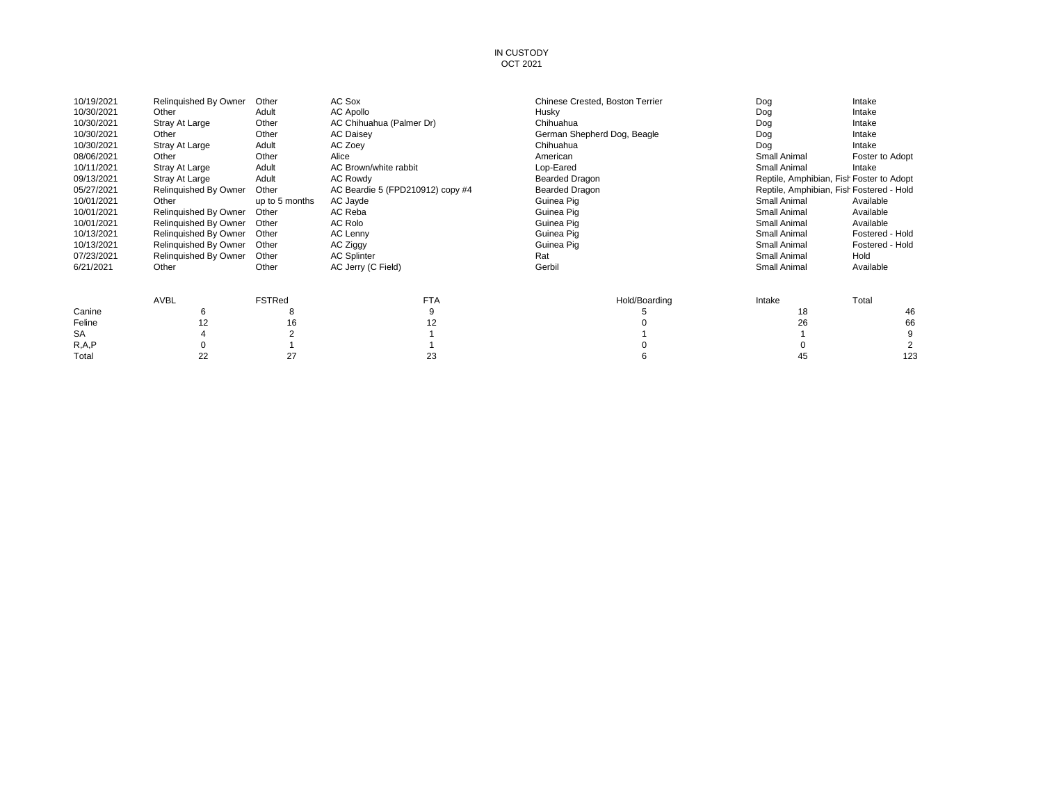#### IN CUSTODY OCT 2021

| 10/19/2021 | Relinquished By Owner | Other          | AC Sox                           | Chinese Crested, Boston Terrier | Dog          | Intake                                   |
|------------|-----------------------|----------------|----------------------------------|---------------------------------|--------------|------------------------------------------|
| 10/30/2021 | Other                 | Adult          | AC Apollo                        | Husky                           | Dog          | Intake                                   |
| 10/30/2021 | Stray At Large        | Other          | AC Chihuahua (Palmer Dr)         | Chihuahua                       | Dog          | Intake                                   |
| 10/30/2021 | Other                 | Other          | <b>AC Daisey</b>                 | German Shepherd Dog, Beagle     | Dog          | Intake                                   |
| 10/30/2021 | Stray At Large        | Adult          | AC Zoey                          | Chihuahua                       | Dog          | Intake                                   |
| 08/06/2021 | Other                 | Other          | Alice                            | American                        | Small Animal | Foster to Adopt                          |
| 10/11/2021 | Stray At Large        | Adult          | AC Brown/white rabbit            | Lop-Eared                       | Small Animal | Intake                                   |
| 09/13/2021 | Stray At Large        | Adult          | <b>AC Rowdy</b>                  | <b>Bearded Dragon</b>           |              | Reptile, Amphibian, Fish Foster to Adopt |
| 05/27/2021 | Relinquished By Owner | Other          | AC Beardie 5 (FPD210912) copy #4 | <b>Bearded Dragon</b>           |              | Reptile, Amphibian, Fish Fostered - Hold |
| 10/01/2021 | Other                 | up to 5 months | AC Jayde                         | Guinea Pig                      | Small Animal | Available                                |
| 10/01/2021 | Relinguished By Owner | Other          | AC Reba                          | Guinea Pig                      | Small Animal | Available                                |
| 10/01/2021 | Relinquished By Owner | Other          | AC Rolo                          | Guinea Pig                      | Small Animal | Available                                |
| 10/13/2021 | Relinquished By Owner | Other          | AC Lenny                         | Guinea Pig                      | Small Animal | Fostered - Hold                          |
| 10/13/2021 | Relinquished By Owner | Other          | AC Ziggy                         | Guinea Pig                      | Small Animal | Fostered - Hold                          |
| 07/23/2021 | Relinguished By Owner | Other          | <b>AC Splinter</b>               | Rat                             | Small Animal | Hold                                     |
| 6/21/2021  | Other                 | Other          | AC Jerry (C Field)               | Gerbil                          | Small Animal | Available                                |
|            | <b>AVBL</b>           | <b>FSTRed</b>  | <b>FTA</b>                       | Hold/Boarding                   | Intake       | Total                                    |
| Canine     | 6                     | 8              |                                  |                                 | 18           | 46                                       |
| Feline     | 12                    | 16             | 12                               |                                 | 26           | 66                                       |
| SA         |                       |                |                                  |                                 |              | 9                                        |
| R, A, P    |                       |                |                                  |                                 |              |                                          |
| Total      | 22                    | 27             | 23                               |                                 | 45           | 123                                      |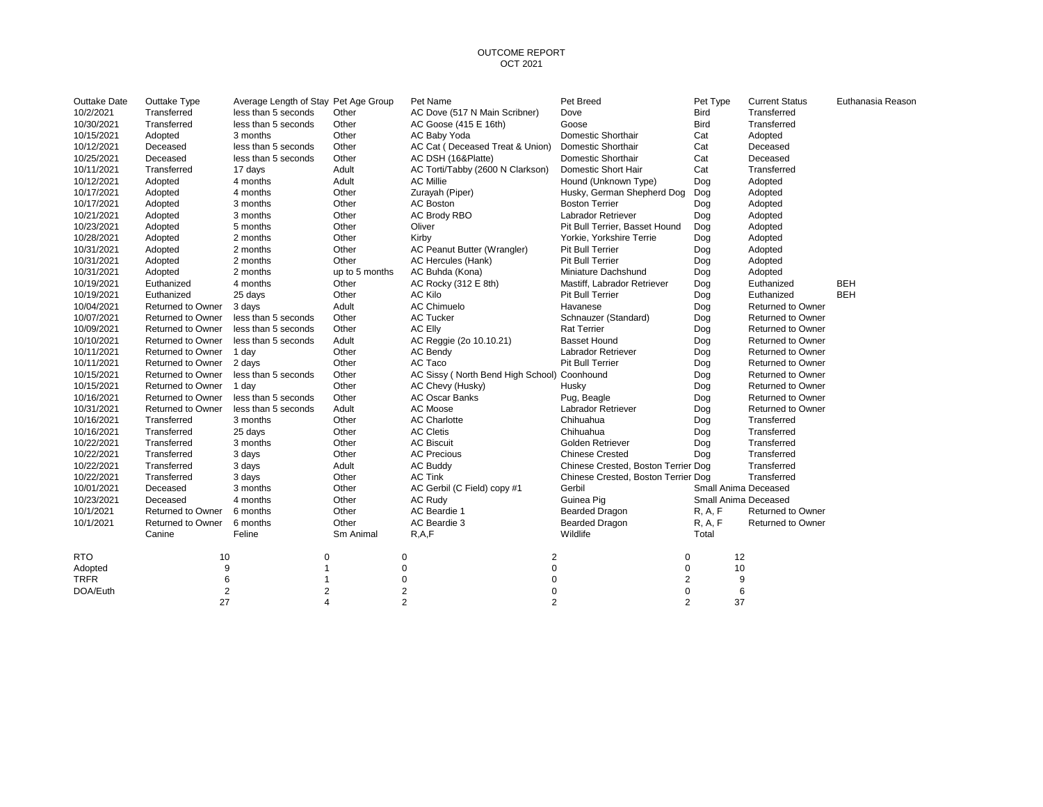| Outtake Date | Outtake Type             | Average Length of Stay Pet Age Group |                | Pet Name                                    | Pet Breed                           | Pet Type             | <b>Current Status</b>    | Euthanasia Reason |
|--------------|--------------------------|--------------------------------------|----------------|---------------------------------------------|-------------------------------------|----------------------|--------------------------|-------------------|
| 10/2/2021    | Transferred              | less than 5 seconds                  | Other          | AC Dove (517 N Main Scribner)               | Dove                                | <b>Bird</b>          | Transferred              |                   |
| 10/30/2021   | Transferred              | less than 5 seconds                  | Other          | AC Goose (415 E 16th)                       | Goose                               | <b>Bird</b>          | Transferred              |                   |
| 10/15/2021   | Adopted                  | 3 months                             | Other          | AC Baby Yoda                                | Domestic Shorthair                  | Cat                  | Adopted                  |                   |
| 10/12/2021   | Deceased                 | less than 5 seconds                  | Other          | AC Cat (Deceased Treat & Union)             | Domestic Shorthair                  | Cat                  | Deceased                 |                   |
| 10/25/2021   | Deceased                 | less than 5 seconds                  | Other          | AC DSH (16&Platte)                          | Domestic Shorthair                  | Cat                  | Deceased                 |                   |
| 10/11/2021   | Transferred              | 17 days                              | Adult          | AC Torti/Tabby (2600 N Clarkson)            | Domestic Short Hair                 | Cat                  | Transferred              |                   |
| 10/12/2021   | Adopted                  | 4 months                             | Adult          | <b>AC Millie</b>                            | Hound (Unknown Type)                | Dog                  | Adopted                  |                   |
| 10/17/2021   | Adopted                  | 4 months                             | Other          | Zurayah (Piper)                             | Husky, German Shepherd Dog          | Dog                  | Adopted                  |                   |
| 10/17/2021   | Adopted                  | 3 months                             | Other          | <b>AC Boston</b>                            | <b>Boston Terrier</b>               | Dog                  | Adopted                  |                   |
| 10/21/2021   | Adopted                  | 3 months                             | Other          | AC Brody RBO                                | <b>Labrador Retriever</b>           | Dog                  | Adopted                  |                   |
| 10/23/2021   | Adopted                  | 5 months                             | Other          | Oliver                                      | Pit Bull Terrier, Basset Hound      | Dog                  | Adopted                  |                   |
| 10/28/2021   | Adopted                  | 2 months                             | Other          | Kirby                                       | Yorkie, Yorkshire Terrie            | Dog                  | Adopted                  |                   |
| 10/31/2021   | Adopted                  | 2 months                             | Other          | AC Peanut Butter (Wrangler)                 | Pit Bull Terrier                    | Dog                  | Adopted                  |                   |
| 10/31/2021   | Adopted                  | 2 months                             | Other          | AC Hercules (Hank)                          | Pit Bull Terrier                    | Dog                  | Adopted                  |                   |
| 10/31/2021   | Adopted                  | 2 months                             | up to 5 months | AC Buhda (Kona)                             | Miniature Dachshund                 | Dog                  | Adopted                  |                   |
| 10/19/2021   | Euthanized               | 4 months                             | Other          | AC Rocky (312 E 8th)                        | Mastiff, Labrador Retriever         | Dog                  | Euthanized               | <b>BEH</b>        |
| 10/19/2021   | Euthanized               | 25 days                              | Other          | AC Kilo                                     | Pit Bull Terrier                    | Dog                  | Euthanized               | <b>BEH</b>        |
| 10/04/2021   | Returned to Owner        | 3 days                               | Adult          | <b>AC Chimuelo</b>                          | Havanese                            | Dog                  | <b>Returned to Owner</b> |                   |
| 10/07/2021   | <b>Returned to Owner</b> | less than 5 seconds                  | Other          | <b>AC Tucker</b>                            | Schnauzer (Standard)                | Dog                  | Returned to Owner        |                   |
| 10/09/2021   | Returned to Owner        | less than 5 seconds                  | Other          | AC Elly                                     | <b>Rat Terrier</b>                  | Dog                  | <b>Returned to Owner</b> |                   |
| 10/10/2021   | Returned to Owner        | less than 5 seconds                  | Adult          | AC Reggie (2o 10.10.21)                     | <b>Basset Hound</b>                 | Dog                  | Returned to Owner        |                   |
| 10/11/2021   | Returned to Owner        | 1 day                                | Other          | AC Bendy                                    | Labrador Retriever                  | Dog                  | Returned to Owner        |                   |
| 10/11/2021   | Returned to Owner        | 2 days                               | Other          | AC Taco                                     | Pit Bull Terrier                    | Dog                  | <b>Returned to Owner</b> |                   |
| 10/15/2021   | Returned to Owner        | less than 5 seconds                  | Other          | AC Sissy (North Bend High School) Coonhound |                                     | Dog                  | Returned to Owner        |                   |
| 10/15/2021   | Returned to Owner        | 1 day                                | Other          | AC Chevy (Husky)                            | Husky                               | Dog                  | Returned to Owner        |                   |
| 10/16/2021   | <b>Returned to Owner</b> | less than 5 seconds                  | Other          | <b>AC Oscar Banks</b>                       | Pug, Beagle                         | Dog                  | <b>Returned to Owner</b> |                   |
| 10/31/2021   | Returned to Owner        | less than 5 seconds                  | Adult          | AC Moose                                    | Labrador Retriever                  | Dog                  | Returned to Owner        |                   |
| 10/16/2021   | Transferred              | 3 months                             | Other          | <b>AC Charlotte</b>                         | Chihuahua                           | Dog                  | Transferred              |                   |
| 10/16/2021   | Transferred              | 25 days                              | Other          | <b>AC Cletis</b>                            | Chihuahua                           | Dog                  | Transferred              |                   |
| 10/22/2021   | Transferred              | 3 months                             | Other          | <b>AC Biscuit</b>                           | Golden Retriever                    | Dog                  | Transferred              |                   |
| 10/22/2021   | Transferred              | 3 days                               | Other          | <b>AC Precious</b>                          | <b>Chinese Crested</b>              | Dog                  | Transferred              |                   |
| 10/22/2021   | Transferred              | 3 days                               | Adult          | <b>AC Buddy</b>                             | Chinese Crested, Boston Terrier Dog |                      | Transferred              |                   |
| 10/22/2021   | Transferred              | 3 days                               | Other          | <b>AC Tink</b>                              | Chinese Crested, Boston Terrier Dog |                      | Transferred              |                   |
| 10/01/2021   | Deceased                 | 3 months                             | Other          | AC Gerbil (C Field) copy #1                 | Gerbil                              | Small Anima Deceased |                          |                   |
| 10/23/2021   | Deceased                 | 4 months                             | Other          | <b>AC Rudy</b>                              | Guinea Pig                          | Small Anima Deceased |                          |                   |
| 10/1/2021    | Returned to Owner        | 6 months                             | Other          | AC Beardie 1                                | <b>Bearded Dragon</b>               | R, A, F              | <b>Returned to Owner</b> |                   |
| 10/1/2021    | Returned to Owner        | 6 months                             | Other          | AC Beardie 3                                | <b>Bearded Dragon</b>               | R, A, F              | Returned to Owner        |                   |
|              | Canine                   | Feline                               | Sm Animal      | R.A.F                                       | Wildlife                            | Total                |                          |                   |
| <b>RTO</b>   | 10                       |                                      | 0              | 2<br>0                                      | 0                                   | 12                   |                          |                   |
| Adopted      | 9                        |                                      |                | 0<br>$\mathbf 0$                            | 0                                   | 10                   |                          |                   |
| <b>TRFR</b>  | 6                        |                                      |                | 0<br>$\Omega$                               | 2                                   | 9                    |                          |                   |
| DOA/Euth     | $\overline{2}$           |                                      | $\overline{2}$ | $\overline{c}$<br>0                         | 0                                   | 6                    |                          |                   |
|              | 27                       |                                      | $\overline{a}$ | $\overline{2}$<br>$\overline{2}$            | $\overline{2}$                      | 37                   |                          |                   |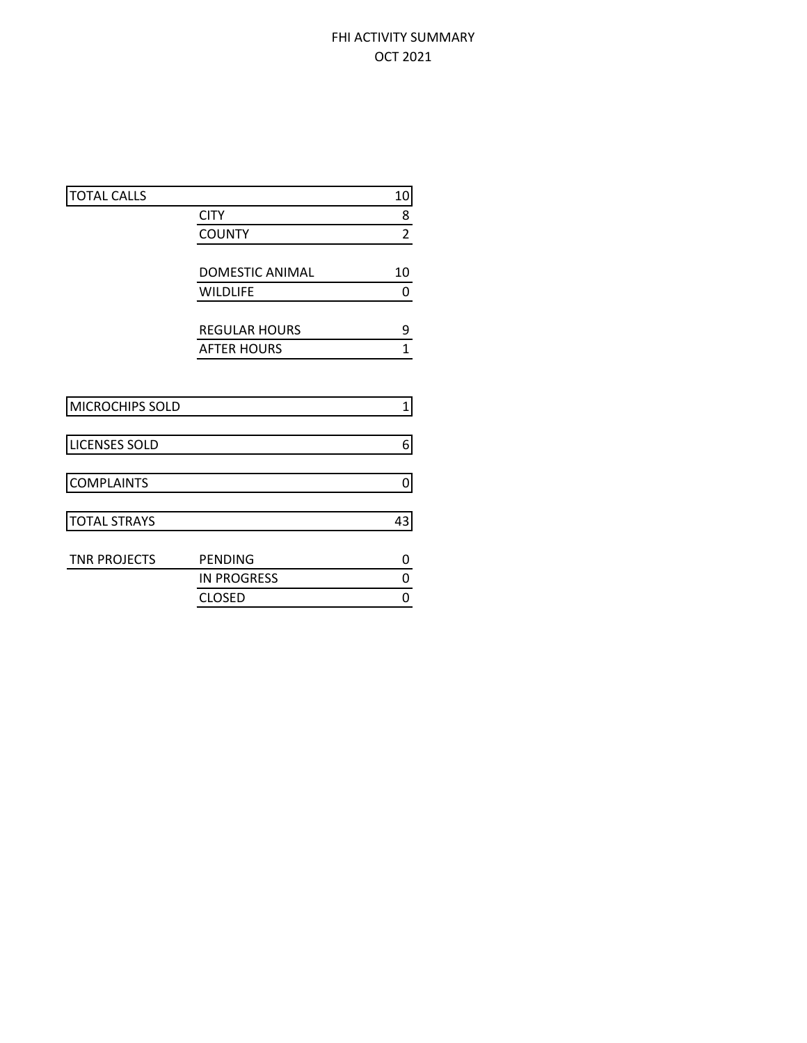# FHI ACTIVITY SUMMARY OCT 2021

| <b>TOTAL CALLS</b>   |                        | 10             |
|----------------------|------------------------|----------------|
|                      | <b>CITY</b>            | 8              |
|                      | <b>COUNTY</b>          | $\overline{2}$ |
|                      |                        |                |
|                      | <b>DOMESTIC ANIMAL</b> | 10             |
|                      | <b>WILDLIFE</b>        | 0              |
|                      |                        |                |
|                      | <b>REGULAR HOURS</b>   | 9              |
|                      | <b>AFTER HOURS</b>     | $\mathbf{1}$   |
|                      |                        |                |
| MICROCHIPS SOLD      |                        | $\mathbf 1$    |
| <b>LICENSES SOLD</b> |                        | 6              |
|                      |                        |                |
| <b>COMPLAINTS</b>    |                        | 0              |
| <b>TOTAL STRAYS</b>  |                        | 43             |
| <b>TNR PROJECTS</b>  | PENDING                | 0              |
|                      | <b>IN PROGRESS</b>     | 0              |
|                      | <b>CLOSED</b>          | 0              |